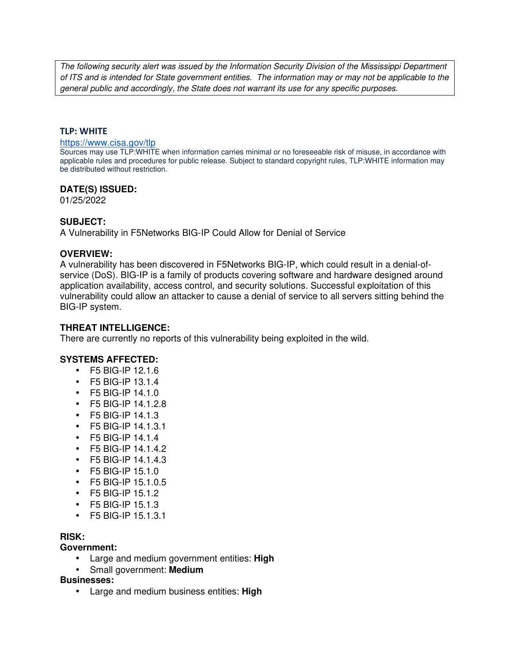The following security alert was issued by the Information Security Division of the Mississippi Department of ITS and is intended for State government entities. The information may or may not be applicable to the general public and accordingly, the State does not warrant its use for any specific purposes.

### **TLP: WHITE**

#### https://www.cisa.gov/tlp

Sources may use TLP:WHITE when information carries minimal or no foreseeable risk of misuse, in accordance with applicable rules and procedures for public release. Subject to standard copyright rules, TLP:WHITE information may be distributed without restriction.

### **DATE(S) ISSUED:**

01/25/2022

### **SUBJECT:**

A Vulnerability in F5Networks BIG-IP Could Allow for Denial of Service

#### **OVERVIEW:**

A vulnerability has been discovered in F5Networks BIG-IP, which could result in a denial-ofservice (DoS). BIG-IP is a family of products covering software and hardware designed around application availability, access control, and security solutions. Successful exploitation of this vulnerability could allow an attacker to cause a denial of service to all servers sitting behind the BIG-IP system.

### **THREAT INTELLIGENCE:**

There are currently no reports of this vulnerability being exploited in the wild.

### **SYSTEMS AFFECTED:**

- F5 BIG-IP 12.1.6
- F5 BIG-IP 13.1.4
- F5 BIG-IP 14.1.0
- F5 BIG-IP 14.1.2.8
- F5 BIG-IP 14.1.3
- F5 BIG-IP 14.1.3.1
- F5 BIG-IP 14.1.4
- F5 BIG-IP 14.1.4.2
- F5 BIG-IP  $14.1.4.3$
- F5 BIG-IP 15.1.0
- F5 BIG-IP 15.1.0.5
- F5 BIG-IP 15.1.2
- F5 BIG-IP 15.1.3
- F5 BIG-IP 15.1.3.1

# **RISK:**

### **Government:**

- Large and medium government entities: **High**
- Small government: **Medium**

### **Businesses:**

• Large and medium business entities: **High**